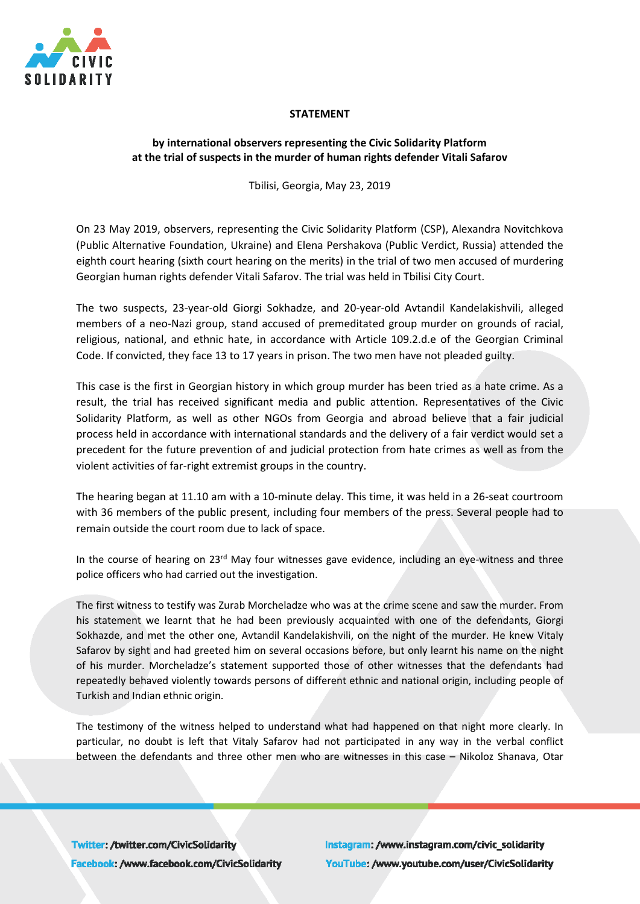

## **STATEMENT**

## **by international observers representing the Civic Solidarity Platform at the trial of suspects in the murder of human rights defender Vitali Safarov**

Tbilisi, Georgia, May 23, 2019

On 23 May 2019, observers, representing the Civic Solidarity Platform (CSP), Alexandra Novitchkova (Public Alternative Foundation, Ukraine) and Elena Pershakova (Public Verdict, Russia) attended the eighth court hearing (sixth court hearing on the merits) in the trial of two men accused of murdering Georgian human rights defender Vitali Safarov. The trial was held in Tbilisi City Court.

The two suspects, 23-year-old Giorgi Sokhadze, and 20-year-old Avtandil Kandelakishvili, alleged members of a neo-Nazi group, stand accused of premeditated group murder on grounds of racial, religious, national, and ethnic hate, in accordance with Article 109.2.d.e of the Georgian Criminal Code. If convicted, they face 13 to 17 years in prison. The two men have not pleaded guilty.

This case is the first in Georgian history in which group murder has been tried as a hate crime. As a result, the trial has received significant media and public attention. Representatives of the Civic Solidarity Platform, as well as other NGOs from Georgia and abroad believe that a fair judicial process held in accordance with international standards and the delivery of a fair verdict would set a precedent for the future prevention of and judicial protection from hate crimes as well as from the violent activities of far-right extremist groups in the country.

The hearing began at 11.10 am with a 10-minute delay. This time, it was held in a 26-seat courtroom with 36 members of the public present, including four members of the press. Several people had to remain outside the court room due to lack of space.

In the course of hearing on 23<sup>rd</sup> May four witnesses gave evidence, including an eye-witness and three police officers who had carried out the investigation.

The first witness to testify was Zurab Morcheladze who was at the crime scene and saw the murder. From his statement we learnt that he had been previously acquainted with one of the defendants, Giorgi Sokhazde, and met the other one, Avtandil Kandelakishvili, on the night of the murder. He knew Vitaly Safarov by sight and had greeted him on several occasions before, but only learnt his name on the night of his murder. Morcheladze's statement supported those of other witnesses that the defendants had repeatedly behaved violently towards persons of different ethnic and national origin, including people of Turkish and Indian ethnic origin.

The testimony of the witness helped to understand what had happened on that night more clearly. In particular, no doubt is left that Vitaly Safarov had not participated in any way in the verbal conflict between the defendants and three other men who are witnesses in this case – Nikoloz Shanava, Otar

Twitter: /twitter.com/CivicSolidarity Facebook: /www.facebook.com/CivicSolidarity Instagram: /www.instagram.com/civic\_solidarity YouTube: /www.youtube.com/user/CivicSolidarity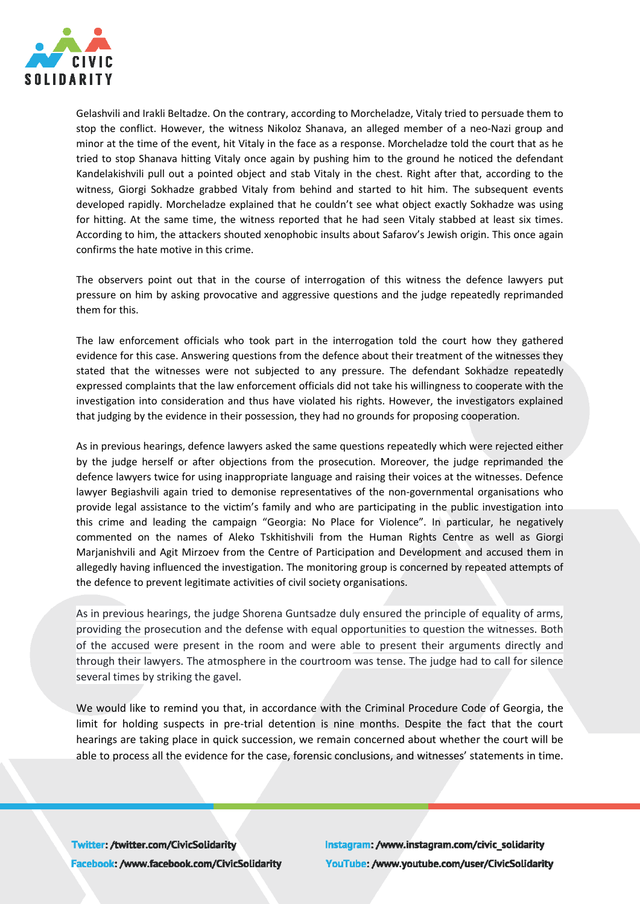

Gelashvili and Irakli Beltadze. On the contrary, according to Morcheladze, Vitaly tried to persuade them to stop the conflict. However, the witness Nikoloz Shanava, an alleged member of a neo-Nazi group and minor at the time of the event, hit Vitaly in the face as a response. Morcheladze told the court that as he tried to stop Shanava hitting Vitaly once again by pushing him to the ground he noticed the defendant Kandelakishvili pull out a pointed object and stab Vitaly in the chest. Right after that, according to the witness, Giorgi Sokhadze grabbed Vitaly from behind and started to hit him. The subsequent events developed rapidly. Morcheladze explained that he couldn't see what object exactly Sokhadze was using for hitting. At the same time, the witness reported that he had seen Vitaly stabbed at least six times. According to him, the attackers shouted xenophobic insults about Safarov's Jewish origin. This once again confirms the hate motive in this crime.

The observers point out that in the course of interrogation of this witness the defence lawyers put pressure on him by asking provocative and aggressive questions and the judge repeatedly reprimanded them for this.

The law enforcement officials who took part in the interrogation told the court how they gathered evidence for this case. Answering questions from the defence about their treatment of the witnesses they stated that the witnesses were not subjected to any pressure. The defendant Sokhadze repeatedly expressed complaints that the law enforcement officials did not take his willingness to cooperate with the investigation into consideration and thus have violated his rights. However, the investigators explained that judging by the evidence in their possession, they had no grounds for proposing cooperation.

As in previous hearings, defence lawyers asked the same questions repeatedly which were rejected either by the judge herself or after objections from the prosecution. Moreover, the judge reprimanded the defence lawyers twice for using inappropriate language and raising their voices at the witnesses. Defence lawyer Begiashvili again tried to demonise representatives of the non-governmental organisations who provide legal assistance to the victim's family and who are participating in the public investigation into this crime and leading the campaign "Georgia: No Place for Violence". In particular, he negatively commented on the names of Aleko Tskhitishvili from the Human Rights Centre as well as Giorgi Marjanishvili and Agit Mirzoev from the Centre of Participation and Development and accused them in allegedly having influenced the investigation. The monitoring group is concerned by repeated attempts of the defence to prevent legitimate activities of civil society organisations.

As in previous hearings, the judge Shorena Guntsadze duly ensured the principle of equality of arms, providing the prosecution and the defense with equal opportunities to question the witnesses. Both of the accused were present in the room and were able to present their arguments directly and through their lawyers. The atmosphere in the courtroom was tense. The judge had to call for silence several times by striking the gavel.

We would like to remind you that, in accordance with the Criminal Procedure Code of Georgia, the limit for holding suspects in pre-trial detention is nine months. Despite the fact that the court hearings are taking place in quick succession, we remain concerned about whether the court will be able to process all the evidence for the case, forensic conclusions, and witnesses' statements in time.

Twitter: /twitter.com/CivicSolidarity Facebook: /www.facebook.com/CivicSolidarity Instagram: /www.instagram.com/civic\_solidarity YouTube: /www.youtube.com/user/CivicSolidarity